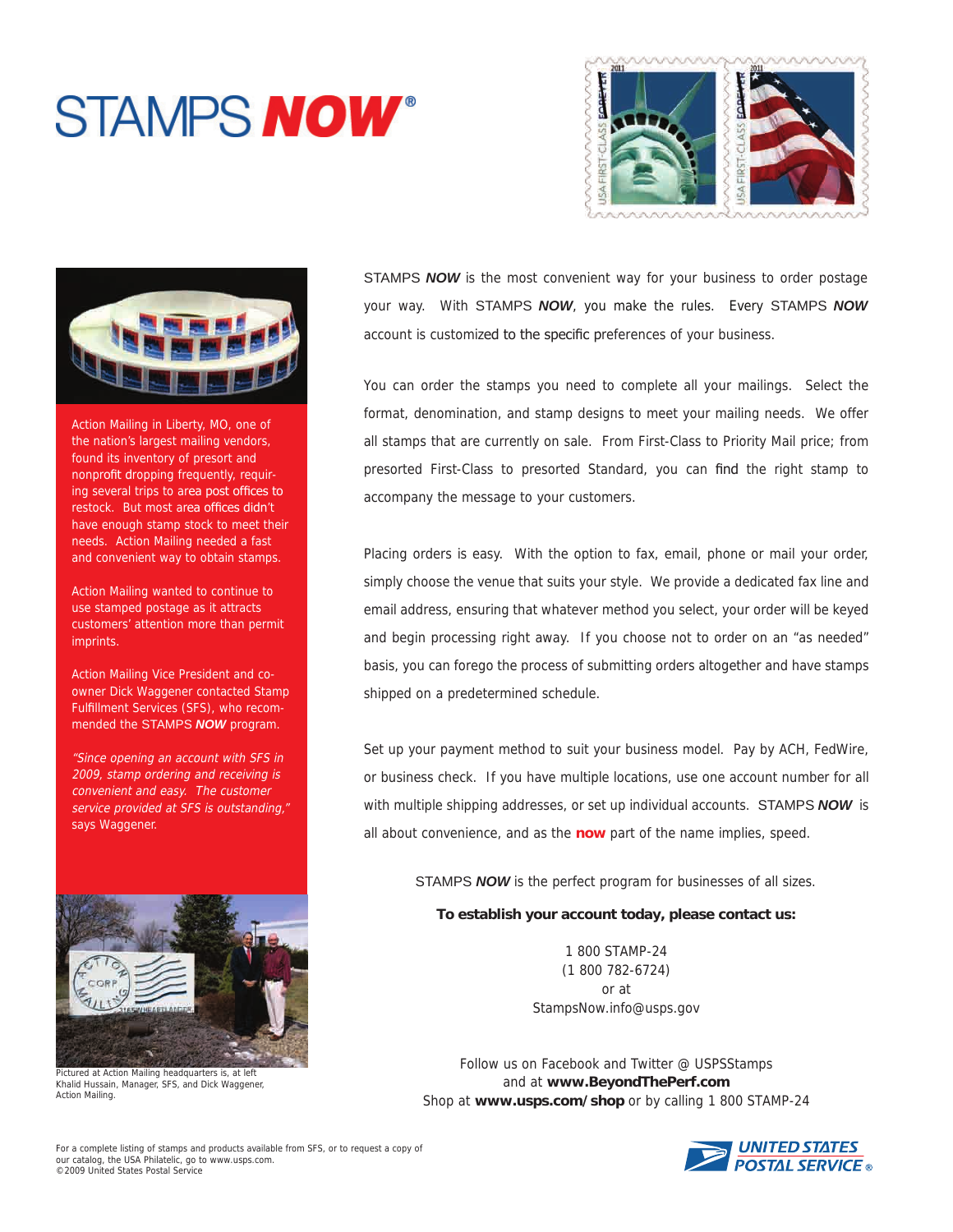## **STAMPS NOW®**





Action Mailing in Liberty, MO, one of the nation's largest mailing vendors, found its inventory of presort and nonprofit dropping frequently, requiring several trips to area post offices to restock. But most area offices didn't have enough stamp stock to meet their needs. Action Mailing needed a fast and convenient way to obtain stamps.

Action Mailing wanted to continue to use stamped postage as it attracts customers' attention more than permit imprints.

Action Mailing Vice President and coowner Dick Waggener contacted Stamp Fulfillment Services (SFS), who recommended the STAMPS *NOW* program.

"Since opening an account with SFS in 2009, stamp ordering and receiving is convenient and easy. The customer service provided at SFS is outstanding," says Waggener.



Pictured at Action Mailing headquarters is, at left Khalid Hussain, Manager, SFS, and Dick Waggener, Action Mailing.

STAMPS *NOW* is the most convenient way for your business to order postage your way. With STAMPS *NOW*, you make the rules. Every STAMPS *NOW* account is customized to the specific preferences of your business.

You can order the stamps you need to complete all your mailings. Select the format, denomination, and stamp designs to meet your mailing needs. We offer all stamps that are currently on sale. From First-Class to Priority Mail price; from presorted First-Class to presorted Standard, you can find the right stamp to accompany the message to your customers.

Placing orders is easy. With the option to fax, email, phone or mail your order, simply choose the venue that suits your style. We provide a dedicated fax line and email address, ensuring that whatever method you select, your order will be keyed and begin processing right away. If you choose not to order on an "as needed" basis, you can forego the process of submitting orders altogether and have stamps shipped on a predetermined schedule.

Set up your payment method to suit your business model. Pay by ACH, FedWire, or business check. If you have multiple locations, use one account number for all with multiple shipping addresses, or set up individual accounts. STAMPS *NOW*is all about convenience, and as the **now** part of the name implies, speed.

STAMPS *NOW* is the perfect program for businesses of all sizes.

## **To establish your account today, please contact us:**

1 800 STAMP-24 (1 800 782-6724) or at StampsNow.info@usps.gov

Follow us on Facebook and Twitter @ USPSStamps and at **www.BeyondThePerf.com** Shop at **www.usps.com/shop** or by calling 1 800 STAMP-24